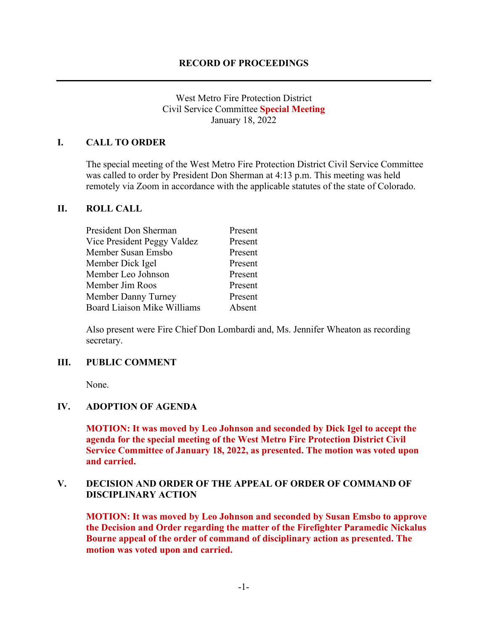# West Metro Fire Protection District Civil Service Committee **Special Meeting** January 18, 2022

# **I. CALL TO ORDER**

The special meeting of the West Metro Fire Protection District Civil Service Committee was called to order by President Don Sherman at 4:13 p.m. This meeting was held remotely via Zoom in accordance with the applicable statutes of the state of Colorado.

### **II. ROLL CALL**

| President Don Sherman              | Present |
|------------------------------------|---------|
| Vice President Peggy Valdez        | Present |
| Member Susan Emsbo                 | Present |
| Member Dick Igel                   | Present |
| Member Leo Johnson                 | Present |
| Member Jim Roos                    | Present |
| Member Danny Turney                | Present |
| <b>Board Liaison Mike Williams</b> | Absent  |
|                                    |         |

Also present were Fire Chief Don Lombardi and, Ms. Jennifer Wheaton as recording secretary.

#### **III. PUBLIC COMMENT**

None.

### **IV. ADOPTION OF AGENDA**

**MOTION: It was moved by Leo Johnson and seconded by Dick Igel to accept the agenda for the special meeting of the West Metro Fire Protection District Civil Service Committee of January 18, 2022, as presented. The motion was voted upon and carried.**

# **V. DECISION AND ORDER OF THE APPEAL OF ORDER OF COMMAND OF DISCIPLINARY ACTION**

**MOTION: It was moved by Leo Johnson and seconded by Susan Emsbo to approve the Decision and Order regarding the matter of the Firefighter Paramedic Nickalus Bourne appeal of the order of command of disciplinary action as presented. The motion was voted upon and carried.**